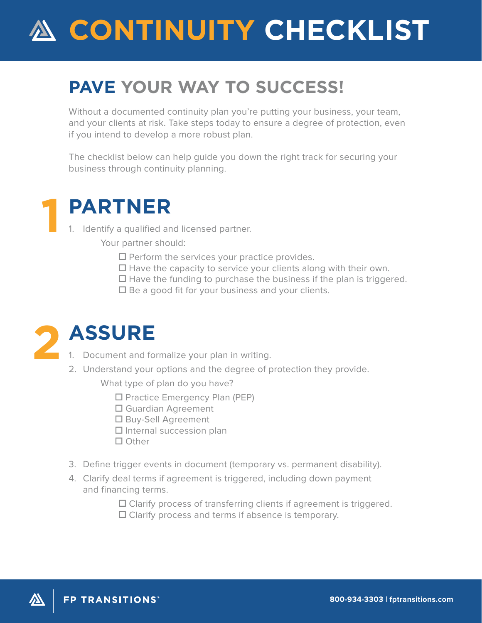# **CONTINUITY CHECKLIST**

#### **PAVE YOUR WAY TO SUCCESS!**

Without a documented continuity plan you're putting your business, your team, and your clients at risk. Take steps today to ensure a degree of protection, even if you intend to develop a more robust plan.

The checklist below can help guide you down the right track for securing your business through continuity planning.

### **PARTNER**

1. Identify a qualified and licensed partner.

Your partner should:

- $\square$  Perform the services your practice provides.
- $\Box$  Have the capacity to service your clients along with their own.
- $\Box$  Have the funding to purchase the business if the plan is triggered.
- $\square$  Be a good fit for your business and your clients.



**1**

- 1. Document and formalize your plan in writing.
- 2. Understand your options and the degree of protection they provide.

What type of plan do you have?

- □ Practice Emergency Plan (PEP)
- Guardian Agreement
- □ Buy-Sell Agreement
- $\square$  Internal succession plan
- □ Other
- 3. Define trigger events in document (temporary vs. permanent disability).
- 4. Clarify deal terms if agreement is triggered, including down payment and financing terms.

 $\Box$  Clarify process of transferring clients if agreement is triggered.  $\Box$  Clarify process and terms if absence is temporary.